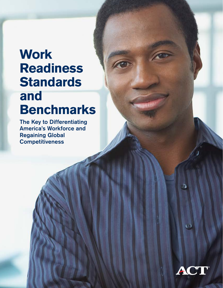# **Work Readiness Standards and**

FO

# **Benchmarks**

The Key to Differentiating America's Workforce and Regaining Global **Competitiveness** 



ಾ

 $\overline{\mathbf{C}}$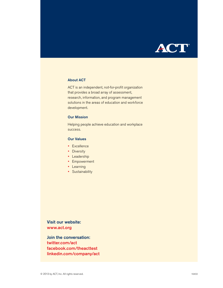

#### About ACT

ACT is an independent, not-for-profit organization that provides a broad array of assessment, research, information, and program management solutions in the areas of education and workforce development.

#### Our Mission

Helping people achieve education and workplace success.

#### Our Values

- Excellence
- Diversity
- Leadership
- Empowerment
- Learning
- Sustainability

Visit our website: www.act.org

Join the conversation: twitter.com/act facebook.com/theacttest linkedin.com/company/act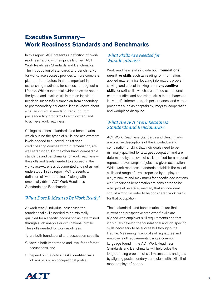## **Executive Summary— Work Readiness Standards and Benchmarks**

In this report, ACT presents a definition of "work readiness" along with empirically driven ACT Work Readiness Standards and Benchmarks. The introduction of standards and benchmarks for workplace success provides a more complete picture of the factors that are important in establishing readiness for success throughout a lifetime. While substantial evidence exists about the types and levels of skills that an individual needs to successfully transition from secondary to postsecondary education, less is known about what an individual needs to transition from postsecondary programs to employment and to achieve work readiness.

College readiness standards and benchmarks, which outline the types of skills and achievement levels needed to succeed in first-year credit-bearing courses without remediation, are well established. On the other hand, comparable standards and benchmarks for work readiness the skills and levels needed to succeed in the workplace—are less documented and not as well understood. In this report, ACT presents a definition of "work readiness" along with empirically driven ACT Work Readiness Standards and Benchmarks.

#### *What Does It Mean to Be Work Ready?*

A "work ready" individual possesses the foundational skills needed to be minimally qualified for a specific occupation as determined through a job analysis or occupational profile. The skills needed for work readiness:

- 1. are both foundational and occupation specific,
- 2. vary in both importance and level for different occupations, and
- 3. depend on the critical tasks identified via a job analysis or an occupational profile.

#### *What Skills Are Needed for Work Readiness?*

Work readiness skills include both **foundational** cognitive skills such as reading for information, applied mathematics, locating information, problem solving, and critical thinking and noncognitive skills, or soft skills, which are defined as personal characteristics and behavioral skills that enhance an individual's interactions, job performance, and career prospects such as adaptability, integrity, cooperation, and workplace discipline.

#### *What Are ACT Work Readiness Standards and Benchmarks?*

ACT Work Readiness Standards and Benchmarks are precise descriptions of the knowledge and combination of skills that individuals need to be minimally qualified for a target occupation and are determined by the level of skills profiled for a national representative sample of jobs in a given occupation. While work readiness standards establish the mix of skills and range of levels reported by employers (i.e., minimum and maximum) for specific occupations, work readiness benchmarks are considered to be a target skill level (i.e., median) that an individual should aim for in order to be considered work ready for that occupation.

These standards and benchmarks ensure that current and prospective employees' skills are aligned with employer skill requirements and that individuals develop the foundational and job-specific skills necessary to be successful throughout a lifetime. Measuring individual skill signatures and employer skill requirements using a common language found in the ACT Work Readiness Standards and Benchmarks will help solve the long-standing problem of skill mismatches and gaps by aligning postsecondary curriculum with skills that meet employers' needs.

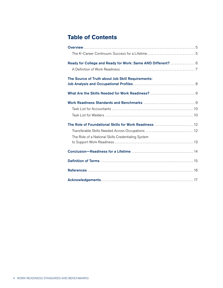# **Table of Contents**

| Ready for College and Ready for Work: Same AND Different?  6 |
|--------------------------------------------------------------|
|                                                              |
| The Source of Truth about Job Skill Requirements:            |
|                                                              |
|                                                              |
|                                                              |
|                                                              |
|                                                              |
| The Role of Foundational Skills for Work Readiness  12       |
| Transferable Skills Needed Across Occupations  12            |
| The Role of a National Skills Credentialing System           |
|                                                              |
|                                                              |
|                                                              |
|                                                              |
|                                                              |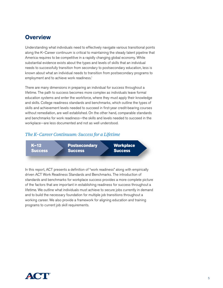## **Overview**

Understanding what individuals need to effectively navigate various transitional points along the K–Career continuum is critical to maintaining the steady talent pipeline that America requires to be competitive in a rapidly changing global economy. While substantial evidence exists about the types and levels of skills that an individual needs to successfully transition from secondary to postsecondary education, less is known about what an individual needs to transition from postsecondary programs to employment and to achieve work readiness.<sup>1</sup>

There are many dimensions in preparing an individual for success throughout a lifetime. The path to success becomes more complex as individuals leave formal education systems and enter the workforce, where they must apply their knowledge and skills. College readiness standards and benchmarks, which outline the types of skills and achievement levels needed to succeed in first-year credit-bearing courses without remediation, are well established. On the other hand, comparable standards and benchmarks for work readiness—the skills and levels needed to succeed in the workplace—are less documented and not as well understood.

#### *The K–Career Continuum: Success for a Lifetime*



In this report, ACT presents a definition of "work readiness" along with empirically driven ACT Work Readiness Standards and Benchmarks. The introduction of standards and benchmarks for workplace success provides a more complete picture of the factors that are important in establishing readiness for success throughout a lifetime. We outline what individuals must achieve to secure jobs currently in demand and to build the necessary foundation for multiple job transitions throughout a working career. We also provide a framework for aligning education and training programs to current job skill requirements.

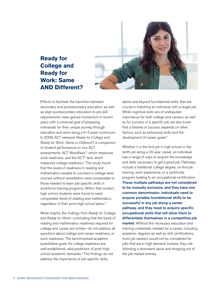

## **Ready for College and Ready for Work: Same AND Different?**

Efforts to facilitate the transition between secondary and postsecondary education, as well as align postsecondary education to job skill requirements, have gained momentum in recent years with a universal goal of preparing individuals for their unique journey through education and work along a K–Career continuum. In 2006, ACT released *Ready for College and Ready for Work: Same or Different?*, a comparison of student performance on two ACT assessments: ACT WorkKeys®, which measures work readiness, and the ACT® test, which measures college readiness.2 The study found that the *levels* of readiness in reading and mathematics needed to succeed in college-level courses without remediation were comparable to those needed to learn job-specific skills in workforce training programs. Within that context, high school students were found to need comparable *levels* of reading and mathematics, regardless of their post–high school plans.3

While helpful, the findings from *Ready for College and Ready for Work*—concluding that the *levels* of reading and mathematics readiness required for college and career are similar—do not address all questions about college and career readiness, or work readiness. The benchmarked academic quantitative goals for college readiness are well-established, valid predictors of post–high school academic demands.4 The findings do not address the importance of job-specific skills,

above and beyond foundational skills, that are crucial in matching an individual with a target job. While cognitive skills are of undisputed importance for both college and careers, as well as for success in a specific job, we also know that a lifetime of success depends on other factors, such as behavioral skills and the development of career goals.<sup>5</sup>

Whether it is the first job in high school or the tenth job along a 20-year career, an individual has a range of ways to acquire the knowledge and skills necessary to get a good job. Pathways include a traditional college degree, on-the-job training, work experience, or a certificate program leading to an occupational certification. These multiple pathways are not considered to be mutually exclusive, and they have one common denominator: individuals need to acquire portable foundational skills to be successful in any job along a career pathway, and they need to acquire specific occupational skills that will allow them to differentiate themselves in a competitive job market. Without the necessary education and training credentials needed for a career, including academic degrees as well as skill certifications, most job seekers would not be considered for jobs that are in high demand. Instead, they risk following a downward spiral and dropping out of the job market entirely.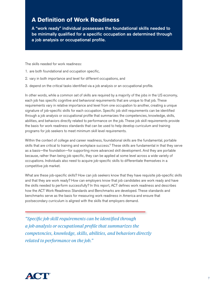## **A Definition of Work Readiness**

A "work ready" individual possesses the foundational skills needed to be minimally qualified for a specific occupation as determined through a job analysis or occupational profile.

The skills needed for work readiness:

- 1. are both foundational and occupation specific,
- 2. vary in both importance and level for different occupations, and
- 3. depend on the critical tasks identified via a job analysis or an occupational profile.

In other words, while a common set of skills are required by a majority of the jobs in the US economy, each job has specific cognitive and behavioral requirements that are unique to that job. These requirements vary in relative importance and level from one occupation to another, creating a unique signature of job-specific skills for each occupation. Specific job skill requirements can be identified through a job analysis or occupational profile that summarizes the competencies, knowledge, skills, abilities, and behaviors directly related to performance on the job. These job skill requirements provide the basis for work readiness standards that can be used to help develop curriculum and training programs for job seekers to meet minimum skill level requirements.

Within the context of college and career readiness, foundational skills are the fundamental, portable skills that are critical to training and workplace success.<sup>6</sup> These skills are fundamental in that they serve as a basis—the foundation—for supporting more advanced skill development. And they are portable because, rather than being job specific, they can be applied at some level across a wide variety of occupations. Individuals also need to acquire job-specific skills to differentiate themselves in a competitive job market.

What are these job-specific skills? How can job seekers know that they have requisite job-specific skills and that they are work ready? How can employers know that job candidates are work ready and have the skills needed to perform successfully? In this report, ACT defines work readiness and describes how the ACT Work Readiness Standards and Benchmarks are developed. These standards and benchmarks serve as the basis for measuring work readiness in America and ensure that postsecondary curriculum is aligned with the skills that employers demand.

*"Specific job skill requirements can be identified through a job analysis or occupational profile that summarizes the competencies, knowledge, skills, abilities, and behaviors directly related to performance on the job."*

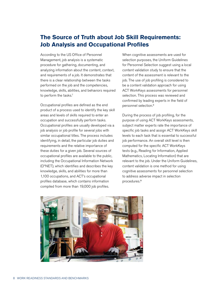## **The Source of Truth about Job Skill Requirements: Job Analysis and Occupational Profiles**

According to the US Office of Personnel Management, job analysis is a systematic procedure for gathering, documenting, and analyzing information about the content, context, and requirements of a job. It demonstrates that there is a clear relationship between the tasks performed on the job and the competencies, knowledge, skills, abilities, and behaviors required to perform the tasks.<sup>7</sup>

Occupational profiles are defined as the end product of a process used to identify the key skill areas and levels of skills required to enter an occupation and successfully perform tasks. Occupational profiles are usually developed via a job analysis or job profile for several jobs with similar occupational titles. The process includes identifying, in detail, the particular job duties and requirements and the relative importance of these duties for a given job. Several sources of occupational profiles are available to the public, including the Occupational Information Network (O\*NET), which identifies and describes the key knowledge, skills, and abilities for more than 1,100 occupations, and ACT's occupational profiles database, which contains information compiled from more than 19,000 job profiles.

When cognitive assessments are used for selection purposes, the Uniform Guidelines for Personnel Selection suggest using a local content validation study to ensure that the content of the assessment is relevant to the job. The use of job profiling is considered to be a content validation approach for using ACT WorkKeys assessments for personnel selection. This process was reviewed and confirmed by leading experts in the field of personnel selection.8

During the process of job profiling, for the purpose of using ACT WorkKeys assessments, subject matter experts rate the importance of specific job tasks and assign ACT WorkKeys skill levels to each task that is essential to successful job performance. An overall skill level is then computed for the specific ACT WorkKeys tests (e.g., Reading for Information, Applied Mathematics, Locating Information) that are relevant to the job. Under the Uniform Guidelines, content validation is one method for using cognitive assessments for personnel selection to address adverse impact in selection procedures.9

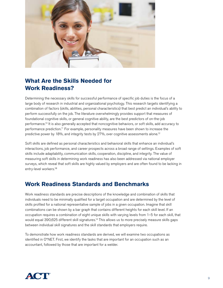

# **What Are the Skills Needed for Work Readiness?**

Determining the necessary skills for successful performance of specific job duties is the focus of a large body of research in industrial and organizational psychology. This research targets identifying a combination of factors (skills, abilities, personal characteristics) that best predict an individual's ability to perform successfully on the job. The literature overwhelmingly provides support that measures of foundational cognitive skills, or general cognitive ability, are the best predictors of on-the-job performance.10 It is also generally accepted that noncognitive behaviors, or soft skills, add accuracy to performance prediction.11 For example, personality measures have been shown to increase the predictive power by 18%, and integrity tests by 27%, over cognitive assessments alone.<sup>12</sup>

Soft skills are defined as personal characteristics and behavioral skills that enhance an individual's interactions, job performance, and career prospects across a broad range of settings. Examples of soft skills include adaptability, communication skills, cooperation, discipline, and integrity. The value of measuring soft skills in determining work readiness has also been addressed via national employer surveys, which reveal that soft skills are highly valued by employers and are often found to be lacking in entry-level workers.<sup>13</sup>

## **Work Readiness Standards and Benchmarks**

Work readiness standards are precise descriptions of the knowledge and combination of skills that individuals need to be minimally qualified for a target occupation and are determined by the level of skills profiled for a national representative sample of jobs in a given occupation. Imagine that skill combinations can be shown by a bar graph that contains different heights for each skill level. If an occupation requires a combination of eight unique skills with varying levels from 1–5 for each skill, that would equal 390,625 different skill signatures.<sup>14</sup> This allows us to more precisely measure skills gaps between individual skill signatures and the skill standards that employers require.

To demonstrate how work readiness standards are derived, we will examine two occupations as identified in O\*NET. First, we identify the tasks that are important for an occupation such as an accountant, followed by those that are important for a welder.

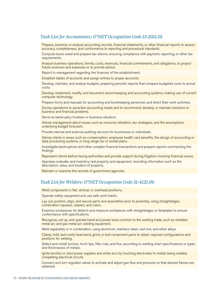#### *Task List for Accountants: O\*NET Occupation Code 13-2011.01*

Prepare, examine, or analyze accounting records, financial statements, or other financial reports to assess accuracy, completeness, and conformance to reporting and procedural standards.

Compute taxes owed and prepare tax returns, ensuring compliance with payment, reporting, or other tax requirements.

Analyze business operations, trends, costs, revenues, financial commitments, and obligations, to project future revenues and expenses or to provide advice.

Report to management regarding the finances of the establishment.

Establish tables of accounts and assign entries to proper accounts.

Develop, maintain, and analyze budgets, preparing periodic reports that compare budgeted costs to actual costs.

Develop, implement, modify, and document record-keeping and accounting systems, making use of current computer technology.

Prepare forms and manuals for accounting and bookkeeping personnel, and direct their work activities.

Survey operations to ascertain accounting needs and to recommend, develop, or maintain solutions to business and financial problems.

Serve as bankruptcy trustees or business valuators.

Advise management about issues such as resource utilization, tax strategies, and the assumptions underlying budget forecasts.

Provide internal and external auditing services for businesses or individuals.

Advise clients in areas such as compensation, employee health care benefits, the design of accounting or data processing systems, or long-range tax or estate plans.

Investigate bankruptcies and other complex financial transactions and prepare reports summarizing the findings.

Represent clients before taxing authorities and provide support during litigation involving financial issues.

Appraise, evaluate, and inventory real property and equipment, recording information such as the description, value, and location of property.

Maintain or examine the records of government agencies.

#### *Task List for Welders: O\*NET Occupation Code 51-4121.06*

Weld components in flat, vertical, or overhead positions.

Operate safety equipment and use safe work habits.

Lay out, position, align, and secure parts and assemblies prior to assembly, using straightedges, combination squares, calipers, and rulers.

Examine workpieces for defects and measure workpieces with straightedges or templates to ensure conformance with specifications.

Recognize, set up, and operate hand and power tools common to the welding trade, such as shielded metal arc and gas metal arc welding equipment.

Weld separately or in combination, using aluminum, stainless steel, cast iron, and other alloys.

Clamp, hold, tack-weld, heat-bend, grind, or bolt component parts to obtain required configurations and positions for welding.

Select and install torches, torch tips, filler rods, and flux, according to welding chart specifications or types and thicknesses of metals.

Ignite torches or start power supplies and strike arcs by touching electrodes to metals being welded, completing electrical circuits.

Connect and turn regulator valves to activate and adjust gas flow and pressure so that desired flames are obtained.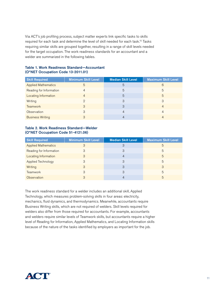Via ACT's job profiling process, subject matter experts link specific tasks to skills required for each task and determine the level of skill needed for each task.<sup>15</sup> Tasks requiring similar skills are grouped together, resulting in a range of skill levels needed for the target occupation. The work readiness standards for an accountant and a welder are summarized in the following tables.

| <b>Skill Required</b>       | <b>Minimum Skill Level</b> | <b>Median Skill Level</b> | <b>Maximum Skill Level</b> |
|-----------------------------|----------------------------|---------------------------|----------------------------|
| <b>Applied Mathematics</b>  | 5                          | 5                         | 6                          |
| Reading for Information     | 4                          | 5                         | 5                          |
| <b>Locating Information</b> |                            | 5                         | 5                          |
| Writing                     | 2                          | З                         | 3                          |
| <b>Teamwork</b>             | 3                          | 3                         | 4                          |
| Observation                 | 3                          | 4                         | 4                          |
| <b>Business Writing</b>     | З                          | 4                         |                            |

#### Table 1. Work Readiness Standard—Accountant (O\*NET Occupation Code 13-2011.01)

#### Table 2. Work Readiness Standard—Welder (O\*NET Occupation Code 51-4121.06)

| <b>Skill Required</b>       | <b>Minimum Skill Level</b> | <b>Median Skill Level</b> | <b>Maximum Skill Level</b> |
|-----------------------------|----------------------------|---------------------------|----------------------------|
| <b>Applied Mathematics</b>  | 3                          | З                         | 5                          |
| Reading for Information     | 3                          | З                         | 5                          |
| <b>Locating Information</b> | 3                          | 4                         | 5                          |
| <b>Applied Technology</b>   | 3                          | 3                         | 5                          |
| Writing                     | 3                          | З                         | 3                          |
| Teamwork                    | 3                          | З                         | 5                          |
| <b>Observation</b>          | З                          | 4                         | 5                          |

The work readiness standard for a welder includes an additional skill, Applied Technology, which measures problem-solving skills in four areas: electricity, mechanics, fluid dynamics, and thermodynamics. Meanwhile, accountants require Business Writing skills, which are not required of welders. Skill levels required for welders also differ from those required for accountants. For example, accountants and welders require similar levels of Teamwork skills, but accountants require a higher level of Reading for Information, Applied Mathematics, and Locating Information skills because of the nature of the tasks identified by employers as important for the job.

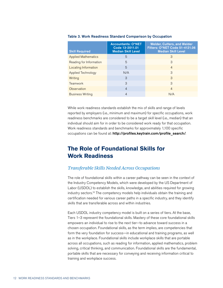| <b>Skill Required</b>      | <b>Accountants: O*NET</b><br>Code 13-2011.01<br><b>Median Skill Level</b> | <b>Welder, Cutters, and Welder</b><br><b>Fitters: O*NET Code 51-4121.06</b><br><b>Median Skill Level</b> |
|----------------------------|---------------------------------------------------------------------------|----------------------------------------------------------------------------------------------------------|
| <b>Applied Mathematics</b> | 5                                                                         | 3                                                                                                        |
| Reading for Information    | 5                                                                         | 3                                                                                                        |
| Locating Information       | 5                                                                         | $\overline{4}$                                                                                           |
| Applied Technology         | N/A                                                                       | 3                                                                                                        |
| Writing                    | 3                                                                         | 3                                                                                                        |
| Teamwork                   | 3                                                                         | 3                                                                                                        |
| Observation                | $\overline{4}$                                                            | $\overline{4}$                                                                                           |
| <b>Business Writing</b>    | 4                                                                         | N/A                                                                                                      |

#### Table 3. Work Readiness Standard Comparison by Occupation

While work readiness standards establish the mix of skills and range of levels reported by employers (i.e., minimum and maximum) for specific occupations, work readiness benchmarks are considered to be a target skill level (i.e., median) that an individual should aim for in order to be considered work ready for that occupation. Work readiness standards and benchmarks for approximately 1,100 specific occupations can be found at: http://profiles.keytrain.com/profile\_search/.

## **The Role of Foundational Skills for Work Readiness**

#### *Transferable Skills Needed Across Occupations*

The role of foundational skills within a career pathway can be seen in the context of the Industry Competency Models, which were developed by the US Department of Labor (USDOL) to establish the skills, knowledge, and abilities required for growing industry sectors.16 The competency models help individuals obtain the training and certification needed for various career paths in a specific industry, and they identify skills that are transferable across and within industries.

Each USDOL industry competency model is built on a series of tiers. At the base, Tiers 1–3 represent the foundational skills. Mastery of these core foundational skills empowers an individual to rise to the next tier—to advance toward success in a chosen occupation. Foundational skills, as the term implies, are competencies that form the very foundation for success—in educational and training programs, as well as in the workplace. Foundational skills include workplace skills that are portable across all occupations, such as reading for information, applied mathematics, problem solving, critical thinking, and communication. Foundational skills are the fundamental, portable skills that are necessary for conveying and receiving information critical to training and workplace success.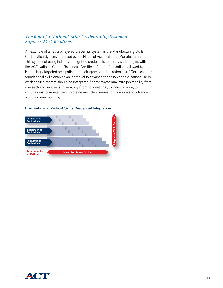#### *The Role of a National Skills Credentialing System to Support Work Readiness*

An example of a national layered credential system is the Manufacturing Skills Certification System, endorsed by the National Association of Manufacturers. This system of using industry-recognized credentials to certify skills begins with the ACT National Career Readiness Certificate™ at the foundation, followed by increasingly targeted occupation- and job-specific skills credentials.17 Certification of foundational skills enables an individual to advance to the next tier. A national skills credentialing system should be integrated *horizontally* to maximize job mobility from one sector to another and *vertically* (from foundational, to industry-wide, to occupational competencies) to create multiple avenues for individuals to advance along a career pathway.



#### Horizontal and Vertical Skills Credential Integration

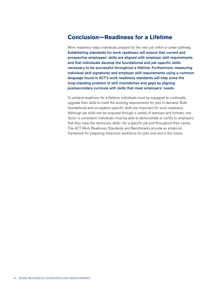### **Conclusion—Readiness for a Lifetime**

Work readiness helps individuals prepare for the next job within a career pathway. Establishing standards for work readiness will ensure that current and prospective employees' skills are aligned with employer skill requirements and that individuals develop the foundational and job-specific skills necessary to be successful throughout a lifetime. Furthermore, measuring individual skill signatures and employer skill requirements using a common language found in ACT's work readiness standards will help solve the long-standing problem of skill mismatches and gaps by aligning postsecondary curricula with skills that meet employers' needs.

To achieve readiness for a lifetime, individuals must be equipped to continually upgrade their skills to meet the evolving requirements for jobs in demand. Both foundational and occupation-specific skills are important for work readiness. Although job skills can be acquired through a variety of avenues and formats, one factor is consistent: individuals must be able to demonstrate or certify to employers that they have the necessary skills—for a specific job and throughout their career. The ACT Work Readiness Standards and Benchmarks provide an empirical framework for preparing America's workforce for jobs now and in the future.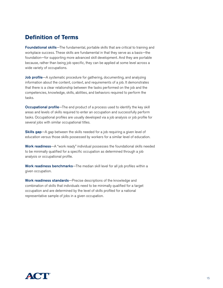## **Definition of Terms**

Foundational skills-The fundamental, portable skills that are critical to training and workplace success. These skills are fundamental in that they serve as a basis—the foundation—for supporting more advanced skill development. And they are portable because, rather than being job specific, they can be applied at some level across a wide variety of occupations.

Job profile—A systematic procedure for gathering, documenting, and analyzing information about the content, context, and requirements of a job. It demonstrates that there is a clear relationship between the tasks performed on the job and the competencies, knowledge, skills, abilities, and behaviors required to perform the tasks.

**Occupational profile**—The end product of a process used to identify the key skill areas and levels of skills required to enter an occupation and successfully perform tasks. Occupational profiles are usually developed via a job analysis or job profile for several jobs with similar occupational titles.

Skills gap-A gap between the skills needed for a job requiring a given level of education versus those skills possessed by workers for a similar level of education.

Work readiness—A "work ready" individual possesses the foundational skills needed to be minimally qualified for a specific occupation as determined through a job analysis or occupational profile.

Work readiness benchmarks-The median skill level for all job profiles within a given occupation.

Work readiness standards-Precise descriptions of the knowledge and combination of skills that individuals need to be minimally qualified for a target occupation and are determined by the level of skills profiled for a national representative sample of jobs in a given occupation.

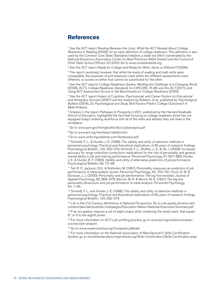### **References**

1 See the ACT report *Reading Between the Lines: What the ACT Reveals About College Readiness in Reading* (2006), for an early definition of college readiness. This definition is also used by the Common Core State Standards Initiative, a state-led effort coordinated by the National Governors Association Center for Best Practices (NGA Center) and the Council of Chief State School Officers (CCSSO). Go to www.corestandards.org

2 See the ACT report *Ready for College and Ready for Work: Same or Different?* (2006).

<sup>3</sup> The report cautioned, however, that while the *levels* of reading and math skills were comparable, the purposes of and measures used within the different assessments were different, so scores on either test cannot be substituted for the other.

4 See the ACT reports *College Readiness System: Meeting the Challenge of a Changing World* (2008), *ACT's College Readiness Standards for EXPLORE*, *PLAN, and the ACT* (2011), and *Using ACT Assessment Scores to Set Benchmarks for College Readiness* (2005).

5 See the ACT report *Impact of Cognitive, Psychosocial, and Career Factors on Educational and Workplace Success* (2007) and the analysis by Robbins, et al., published by *Psychological Bulletin* (2004), *Do Psychological and Study Skill Factors Predict College Outcomes? A Meta-Analysis*.

6 Analysis in the report *Pathways to Prosperity* in 2011, published by the Harvard Graduate School of Education, highlighted the fact that focusing on college readiness alone has not equipped today's entering workforce with all of the skills and abilities they will need in the workplace.

7 Go to www.opm.gov/hiringtoolkit/docs/jobanalysis.pdf

8 Go to www.act.org/workkeys/validity.html

<sup>9</sup> Go to www.uniformguidelines.com/testassess.pdf

<sup>10</sup> Schmidt, F. L., & Hunter, J. E. (1998). The validity and utility of selection methods in personnel psychology: Practical and theoretical implications of 85 years of research findings. Psychological Bulletin, 124, 262–274; Schmidt, F. L., Shaffer, J. A., & Oh, I. (2008). Increased accuracy for range restriction corrections: Implications for the role of personality and general mental ability in job and training performance. Personnel Psychology, 61, 827–868; Hunter, J. E. & Hunter, R. F. (1984). Validity and utility of alternative predictors of job performance. Psychological Bulletin, 96, 72–98.

11 Tell, R. P., Jackson, D.N., & Rothstein, M. (1991). Personality measures as predictors of job performance: A meta-analytic review. Personnel Psychology, 44, 703–741; Hurtz, G. M. & Donovan, J. J. (2000). Personality and job performance: The big five revisited. Journal of Applied Psychology, 85, 869–879; Barrick, M. R. & Mount, M. K. (1991). The big five personality dimensions and job performance: A meta-analysis. Personnel Psychology, 44, 1–26.

<sup>12</sup> Schmidt, F. L. and Hunter, J. E. (1998). The validity and utility of selection methods in personnel psychology: Practical and theoretical implications of 85 years of research findings. Psychological Bulletin, 124, 262–274.

13 Life in the 21st Century Workforce: A National Perspective. Go to cdn.assets-phoenix.net/ content/dam/altcloud/doc/campaigns/Education-Nation-National-Executive-Summary.pdf

<sup>14</sup> If an occupation requires a set of eight unique skills containing five levels each, that equals 58, or 5 to the eighth power.

<sup>15</sup> For more information on ACT's job profiling process, go to www.act.org/solutions/careersuccess/job-analysis

<sup>16</sup> Go to www.careeronestop.org/CompetencyModel

<sup>17</sup> For more information on the National Association of Manufacturer's Skills Certification System, go to www.themanufacturinginstitute.org/Skills-Certification/Skills-Certification.aspx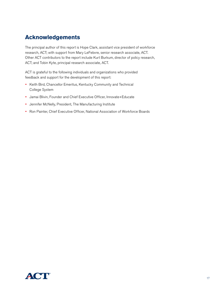## **Acknowledgements**

The principal author of this report is Hope Clark, assistant vice president of workforce research, ACT; with support from Mary LeFebvre, senior research associate, ACT. Other ACT contributors to the report include Kurt Burkum, director of policy research, ACT; and Tobin Kyte, principal research associate, ACT.

ACT is grateful to the following individuals and organizations who provided feedback and support for the development of this report:

- Keith Bird, Chancellor Emeritus, Kentucky Community and Technical College System
- Jamai Blivin, Founder and Chief Executive Officer, Innovate+Educate
- Jennifer McNelly, President, The Manufacturing Institute
- Ron Painter, Chief Executive Officer, National Association of Workforce Boards